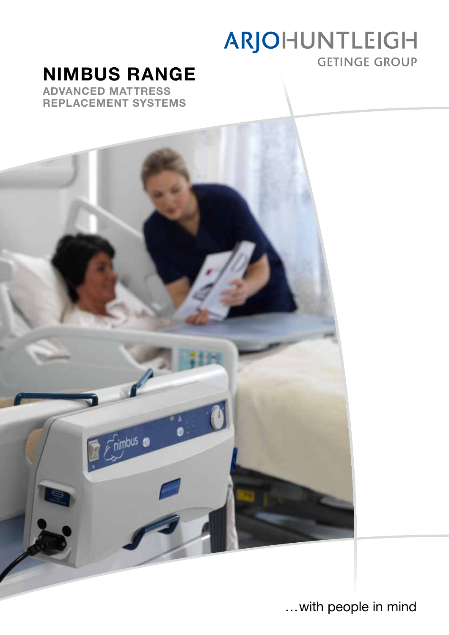# ARJOHUNTLEIGH **GETINGE GROUP**

# NIMBUS range

Advanced Mattress Replacement systems



…with people in mind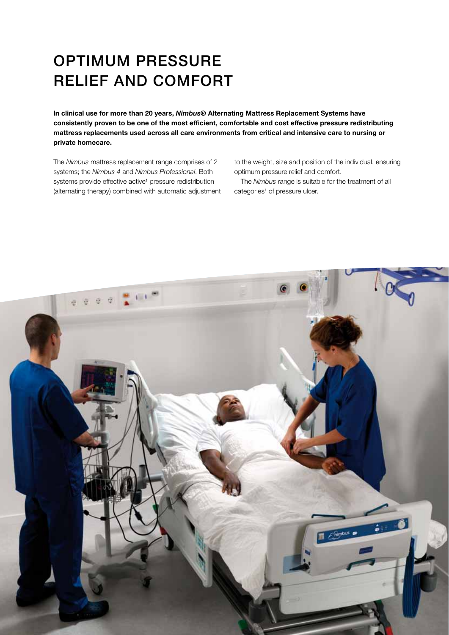## OPTIMUM PRESSURE RELIEF AND COMFORT

In clinical use for more than 20 years, Nimbus® Alternating Mattress Replacement Systems have consistently proven to be one of the most efficient, comfortable and cost effective pressure redistributing mattress replacements used across all care environments from critical and intensive care to nursing or private homecare.

The *Nimbus* mattress replacement range comprises of 2 systems; the *Nimbus 4* and *Nimbus Professional*. Both systems provide effective active<sup>1</sup> pressure redistribution (alternating therapy) combined with automatic adjustment to the weight, size and position of the individual, ensuring optimum pressure relief and comfort.

The *Nimbus* range is suitable for the treatment of all categories<sup>1</sup> of pressure ulcer.

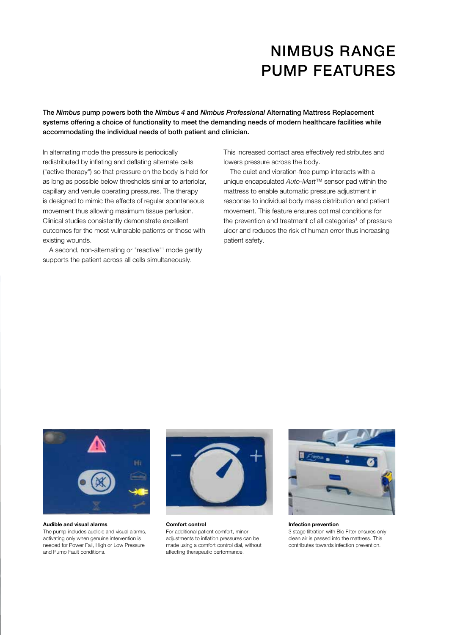### Nimbus range pump features

The Nimbus pump powers both the Nimbus 4 and Nimbus Professional Alternating Mattress Replacement systems offering a choice of functionality to meet the demanding needs of modern healthcare facilities while accommodating the individual needs of both patient and clinician.

In alternating mode the pressure is periodically redistributed by inflating and deflating alternate cells ("active therapy") so that pressure on the body is held for as long as possible below thresholds similar to arteriolar, capillary and venule operating pressures. The therapy is designed to mimic the effects of regular spontaneous movement thus allowing maximum tissue perfusion. Clinical studies consistently demonstrate excellent outcomes for the most vulnerable patients or those with existing wounds.

A second, non-alternating or "reactive"<sup>1</sup> mode gently supports the patient across all cells simultaneously.

This increased contact area effectively redistributes and lowers pressure across the body.

The quiet and vibration-free pump interacts with a unique encapsulated *Auto-Matt*™ sensor pad within the mattress to enable automatic pressure adjustment in response to individual body mass distribution and patient movement. This feature ensures optimal conditions for the prevention and treatment of all categories<sup>1</sup> of pressure ulcer and reduces the risk of human error thus increasing patient safety.



Audible and visual alarms

The pump includes audible and visual alarms, activating only when genuine intervention is needed for Power Fail, High or Low Pressure and Pump Fault conditions.



Comfort control For additional patient comfort, minor adjustments to inflation pressures can be made using a comfort control dial, without affecting therapeutic performance.



Infection prevention 3 stage filtration with Bio Filter ensures only clean air is passed into the mattress. This contributes towards infection prevention.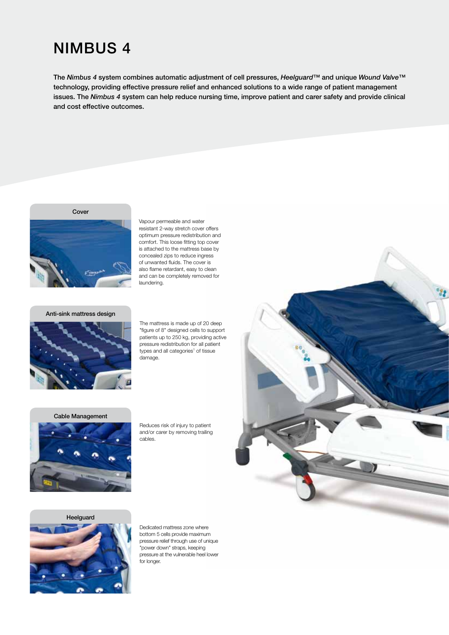### nimbus 4

The Nimbus 4 system combines automatic adjustment of cell pressures, Heelguard™ and unique Wound Valve™ technology, providing effective pressure relief and enhanced solutions to a wide range of patient management issues. The Nimbus 4 system can help reduce nursing time, improve patient and carer safety and provide clinical and cost effective outcomes.

#### Cover



Vapour permeable and water resistant 2-way stretch cover offers optimum pressure redistribution and comfort. This loose fitting top cover is attached to the mattress base by concealed zips to reduce ingress of unwanted fluids. The cover is also flame retardant, easy to clean and can be completely removed for laundering.

#### Anti-sink mattress design



The mattress is made up of 20 deep "figure of 8" designed cells to support patients up to 250 kg, providing active pressure redistribution for all patient types and all categories<sup>1</sup> of tissue damage.

#### Cable Management



Reduces risk of injury to patient and/or carer by removing trailing cables.





Dedicated mattress zone where bottom 5 cells provide maximum pressure relief through use of unique "power down" straps, keeping pressure at the vulnerable heel lower for longer.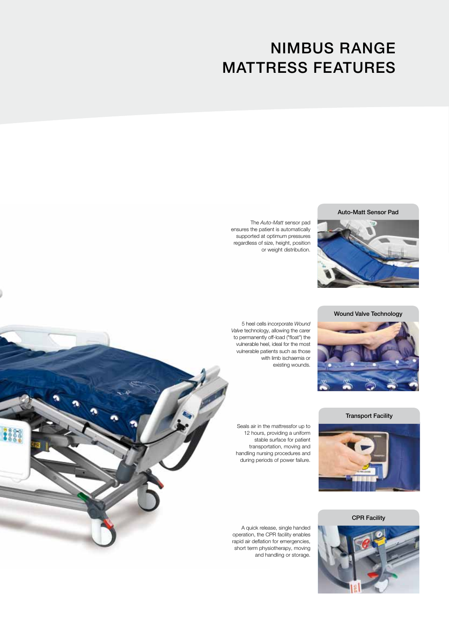## NIMBUS RANGE MATTRESS FEATURES

Auto-Matt Sensor Pad



The *Auto-Matt* sensor pad ensures the patient is automatically supported at optimum pressures regardless of size, height, position or weight distribution.

Wound Valve Technology



5 heel cells incorporate *Wound Valve* technology, allowing the carer to permanently off-load ("float") the vulnerable heel, ideal for the most vulnerable patients such as those with limb ischaemia or existing wounds.

Transport Facility



Seals air in the mattressfor up to 12 hours, providing a uniform stable surface for patient transportation, moving and handling nursing procedures and during periods of power failure.

CPR Facility



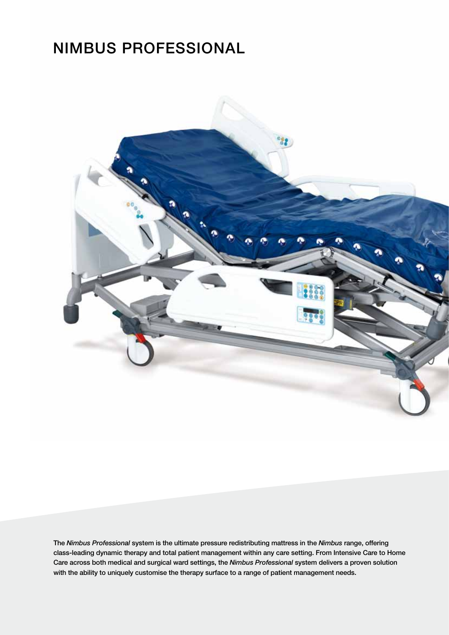### nimbus professional



The Nimbus Professional system is the ultimate pressure redistributing mattress in the Nimbus range, offering class-leading dynamic therapy and total patient management within any care setting. From Intensive Care to Home Care across both medical and surgical ward settings, the Nimbus Professional system delivers a proven solution with the ability to uniquely customise the therapy surface to a range of patient management needs.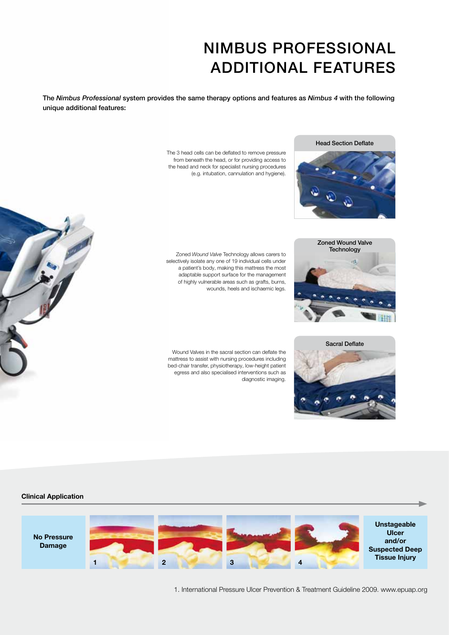### NIMBUS PROFESSIONAL ADDITIONAL FEATURES

The Nimbus Professional system provides the same therapy options and features as Nimbus 4 with the following unique additional features:

> The 3 head cells can be deflated to remove pressure from beneath the head, or for providing access to the head and neck for specialist nursing procedures (e.g. intubation, cannulation and hygiene).

> Zoned *Wound Valve* Technology allows carers to selectively isolate any one of 19 individual cells under a patient's body, making this mattress the most adaptable support surface for the management of highly vulnerable areas such as grafts, burns,

wounds, heels and ischaemic legs.







Wound Valves in the sacral section can deflate the mattress to assist with nursing procedures including bed-chair transfer, physiotherapy, low-height patient egress and also specialised interventions such as diagnostic imaging.

#### Clinical Application



1. International Pressure Ulcer Prevention & Treatment Guideline 2009. www.epuap.org